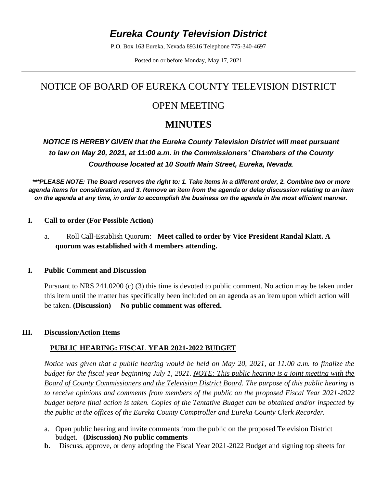# *Eureka County Television District*

P.O. Box 163 Eureka, Nevada 89316 Telephone 775-340-4697

Posted on or before Monday, May 17, 2021

# NOTICE OF BOARD OF EUREKA COUNTY TELEVISION DISTRICT

### OPEN MEETING

# **MINUTES**

*NOTICE IS HEREBY GIVEN that the Eureka County Television District will meet pursuant to law on May 20, 2021, at 11:00 a.m. in the Commissioners' Chambers of the County Courthouse located at 10 South Main Street, Eureka, Nevada.*

*\*\*\*PLEASE NOTE: The Board reserves the right to: 1. Take items in a different order, 2. Combine two or more agenda items for consideration, and 3. Remove an item from the agenda or delay discussion relating to an item on the agenda at any time, in order to accomplish the business on the agenda in the most efficient manner.* 

#### **I. Call to order (For Possible Action)**

a. Roll Call-Establish Quorum: **Meet called to order by Vice President Randal Klatt. A quorum was established with 4 members attending.**

#### **I. Public Comment and Discussion**

Pursuant to NRS 241.0200 (c) (3) this time is devoted to public comment. No action may be taken under this item until the matter has specifically been included on an agenda as an item upon which action will be taken. **(Discussion)** No public comment was offered.

#### **III. Discussion/Action Items**

### **PUBLIC HEARING: FISCAL YEAR 2021-2022 BUDGET**

*Notice was given that a public hearing would be held on May 20, 2021, at 11:00 a.m. to finalize the budget for the fiscal year beginning July 1, 2021. NOTE: This public hearing is a joint meeting with the Board of County Commissioners and the Television District Board. The purpose of this public hearing is to receive opinions and comments from members of the public on the proposed Fiscal Year 2021-2022 budget before final action is taken. Copies of the Tentative Budget can be obtained and/or inspected by the public at the offices of the Eureka County Comptroller and Eureka County Clerk Recorder.* 

- a. Open public hearing and invite comments from the public on the proposed Television District budget. **(Discussion) No public comments**
- **b.** Discuss, approve, or deny adopting the Fiscal Year 2021-2022 Budget and signing top sheets for